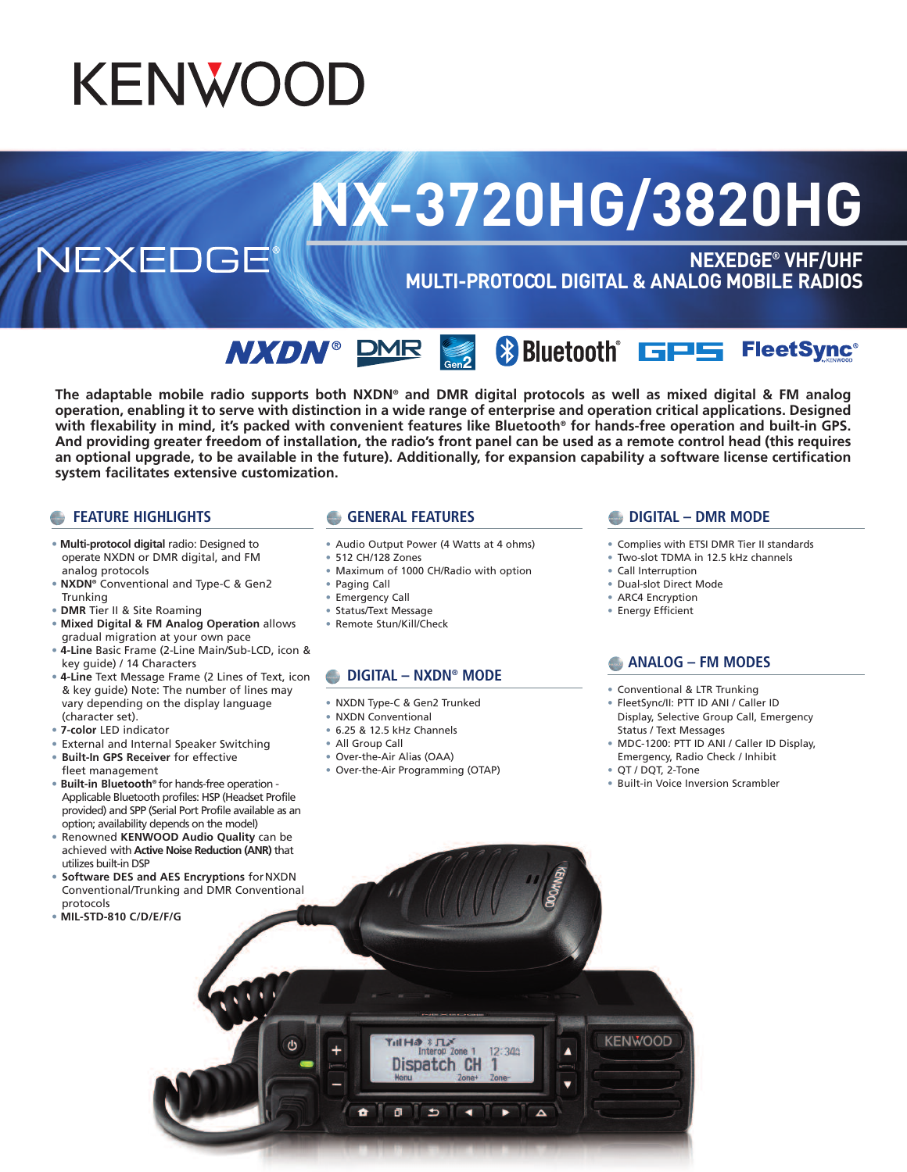## **KENWOOD**

# **NX-3720HG/3820HG**

NEXEDGE

**NEXEDGE® VHF/UHF MULTI-PROTOCOL DIGITAL & ANALOG MOBILE RADIOS**

**SEX Bluetooth GPS** FleetSync<sup>®</sup> **NXDN**® DMR

The adaptable mobile radio supports both NXDN® and DMR digital protocols as well as mixed digital & FM analog operation, enabling it to serve with distinction in a wide range of enterprise and operation critical applications. Designed with flexability in mind, it's packed with convenient features like Bluetooth<sup>®</sup> for hands-free operation and built-in GPS. And providing greater freedom of installation, the radio's front panel can be used as a remote control head (this requires an optional upgrade, to be available in the future). Additionally, for expansion capability a software license certification **system facilitates extensive customization.**

#### **FEATURE HIGHLIGHTS**

- **Multi-protocol digital** radio: Designed to operate NXDN or DMR digital, and FM analog protocols
- **NXDN®** Conventional and Type-C & Gen2 Trunking
- **DMR** Tier II & Site Roaming
- **Mixed Digital & FM Analog Operation** allows gradual migration at your own pace
- **4-Line** Basic Frame (2-Line Main/Sub-LCD, icon & key guide) / 14 Characters
- **4-Line** Text Message Frame (2 Lines of Text, icon & key guide) Note: The number of lines may vary depending on the display language (character set).
- **7-color** LED indicator
- External and Internal Speaker Switching
- **Built-In GPS Receiver** for effective fleet management
- **Built-in Bluetooth®** for hands-free operation Applicable Bluetooth profiles: HSP (Headset Profile provided) and SPP (Serial Port Profile available as an option; availability depends on the model)
- Renowned **KENWOOD Audio Quality** can be achieved with **Active Noise Reduction (ANR)** that utilizes built-in DSP
- **Software DES and AES Encryptions** forNXDN Conventional/Trunking and DMR Conventional protocols
- **MIL-STD-810 C/D/E/F/G**

#### **GENERAL FEATURES**

- Audio Output Power (4 Watts at 4 ohms)
- 512 CH/128 Zones
- Maximum of 1000 CH/Radio with option
- 
- Paging Call
- Emergency Call
- Status/Text Message
- Remote Stun/Kill/Check

#### **DIGITAL – NXDN® MODE**

- NXDN Type-C & Gen2 Trunked
- NXDN Conventional
- 6.25 & 12.5 kHz Channels
- All Group Call
- Over-the-Air Alias (OAA) • Over-the-Air Programming (OTAP)

 $|3 \text{ Hz}$ Interop Zone

Dispatch CH

 $\Rightarrow$ 

 $\overline{\phantom{0}}$ 

 $\bullet$ 

 $\overline{a}$ 

 $12:34a$ 

 $\overline{ }$ 

 $\Delta$ 

#### **DIGITAL – DMR MODE**

- Complies with ETSI DMR Tier II standards
- Two-slot TDMA in 12.5 kHz channels
- Call Interruption
- Dual-slot Direct Mode
- ARC4 Encryption
- Energy Efficient

#### **ANALOG – FM MODES**

- Conventional & LTR Trunking
- FleetSync/II: PTT ID ANI / Caller ID Display, Selective Group Call, Emergency Status / Text Messages
- MDC-1200: PTT ID ANI / Caller ID Display, Emergency, Radio Check / Inhibit
- QT / DQT, 2-Tone

**KENWOOD** 

• Built-in Voice Inversion Scrambler